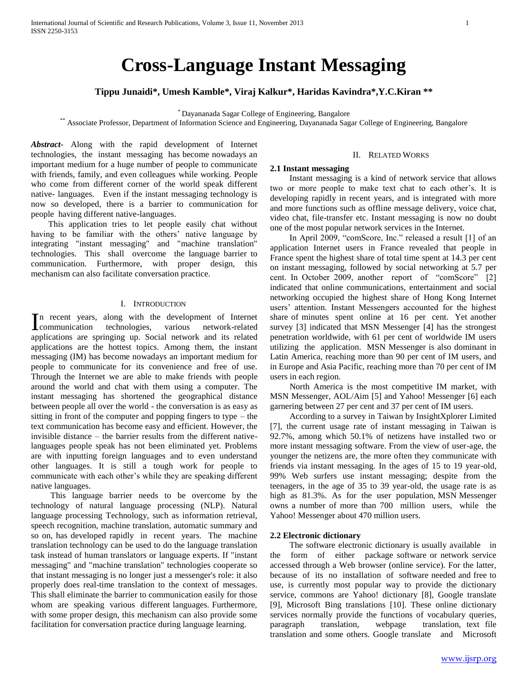# **Tippu Junaidi\*, Umesh Kamble\*, Viraj Kalkur\*, Haridas Kavindra\*,Y.C.Kiran \*\***

\* Dayananada Sagar College of Engineering, Bangalore

\*\* Associate Professor, Department of Information Science and Engineering, Dayananada Sagar College of Engineering, Bangalore

*Abstract***-** Along with the rapid development of Internet technologies, the instant messaging has become nowadays an important medium for a huge number of people to communicate with friends, family, and even colleagues while working. People who come from different corner of the world speak different native- languages. Even if the instant messaging technology is now so developed, there is a barrier to communication for people having different native-languages.

 This application tries to let people easily chat without having to be familiar with the others' native language by integrating "instant messaging" and "machine translation" technologies. This shall overcome the language barrier to communication. Furthermore, with proper design, this mechanism can also facilitate conversation practice.

# I. INTRODUCTION

n recent years, along with the development of Internet In recent years, along with the development of Internet<br>communication technologies, various network-related applications are springing up. Social network and its related applications are the hottest topics. Among them, the instant messaging (IM) has become nowadays an important medium for people to communicate for its convenience and free of use. Through the Internet we are able to make friends with people around the world and chat with them using a computer. The instant messaging has shortened the geographical distance between people all over the world - the conversation is as easy as sitting in front of the computer and popping fingers to type – the text communication has become easy and efficient. However, the invisible distance – the barrier results from the different nativelanguages people speak has not been eliminated yet. Problems are with inputting foreign languages and to even understand other languages. It is still a tough work for people to communicate with each other's while they are speaking different native languages.

 This language barrier needs to be overcome by the technology of natural language processing (NLP). Natural language processing Technology, such as information retrieval, speech recognition, machine translation, automatic summary and so on, has developed rapidly in recent years. The machine translation technology can be used to do the language translation task instead of human translators or language experts. If "instant messaging" and "machine translation" technologies cooperate so that instant messaging is no longer just a messenger's role: it also properly does real-time translation to the context of messages. This shall eliminate the barrier to communication easily for those whom are speaking various different languages. Furthermore, with some proper design, this mechanism can also provide some facilitation for conversation practice during language learning.

# II. RELATED WORKS

# **2.1 Instant messaging**

 Instant messaging is a kind of network service that allows two or more people to make text chat to each other's. It is developing rapidly in recent years, and is integrated with more and more functions such as offline message delivery, voice chat, video chat, file-transfer etc. Instant messaging is now no doubt one of the most popular network services in the Internet.

 In April 2009, "comScore, Inc." released a result [1] of an application Internet users in France revealed that people in France spent the highest share of total time spent at 14.3 per cent on instant messaging, followed by social networking at 5.7 per cent. In October 2009, another report of "comScore" [2] indicated that online communications, entertainment and social networking occupied the highest share of Hong Kong Internet users' attention. Instant Messengers accounted for the highest share of minutes spent online at 16 per cent. Yet another survey [3] indicated that MSN Messenger [4] has the strongest penetration worldwide, with 61 per cent of worldwide IM users utilizing the application. MSN Messenger is also dominant in Latin America, reaching more than 90 per cent of IM users, and in Europe and Asia Pacific, reaching more than 70 per cent of IM users in each region.

 North America is the most competitive IM market, with MSN Messenger, AOL/Aim [5] and Yahoo! Messenger [6] each garnering between 27 per cent and 37 per cent of IM users.

 According to a survey in Taiwan by InsightXplorer Limited [7], the current usage rate of instant messaging in Taiwan is 92.7%, among which 50.1% of netizens have installed two or more instant messaging software. From the view of user-age, the younger the netizens are, the more often they communicate with friends via instant messaging. In the ages of 15 to 19 year-old, 99% Web surfers use instant messaging; despite from the teenagers, in the age of 35 to 39 year-old, the usage rate is as high as 81.3%. As for the user population, MSN Messenger owns a number of more than 700 million users, while the Yahoo! Messenger about 470 million users.

# **2.2 Electronic dictionary**

 The software electronic dictionary is usually available in the form of either package software or network service accessed through a Web browser (online service). For the latter, because of its no installation of software needed and free to use, is currently most popular way to provide the dictionary service, commons are Yahoo! dictionary [8], Google translate [9], Microsoft Bing translations [10]. These online dictionary services normally provide the functions of vocabulary queries, paragraph translation, webpage translation, text file translation and some others. Google translate and Microsoft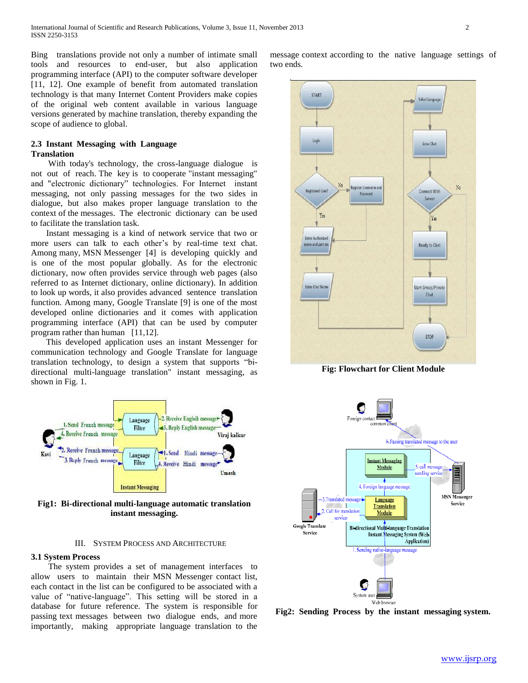Bing translations provide not only a number of intimate small tools and resources to end-user, but also application programming interface (API) to the computer software developer [11, 12]. One example of benefit from automated translation technology is that many Internet Content Providers make copies of the original web content available in various language versions generated by machine translation, thereby expanding the scope of audience to global.

# **2.3 Instant Messaging with Language Translation**

 With today's technology, the cross-language dialogue is not out of reach. The key is to cooperate "instant messaging" and "electronic dictionary" technologies. For Internet instant messaging, not only passing messages for the two sides in dialogue, but also makes proper language translation to the context of the messages. The electronic dictionary can be used to facilitate the translation task.

 Instant messaging is a kind of network service that two or more users can talk to each other's by real-time text chat. Among many, MSN Messenger [4] is developing quickly and is one of the most popular globally. As for the electronic dictionary, now often provides service through web pages (also referred to as Internet dictionary, online dictionary). In addition to look up words, it also provides advanced sentence translation function. Among many, Google Translate [9] is one of the most developed online dictionaries and it comes with application programming interface (API) that can be used by computer program rather than human [11,12].

 This developed application uses an instant Messenger for communication technology and Google Translate for language translation technology, to design a system that supports "bidirectional multi-language translation" instant messaging, as shown in Fig. 1.



**Fig1: Bi-directional multi-language automatic translation instant messaging.**

#### III. SYSTEM PROCESS AND ARCHITECTURE

#### **3.1 System Process**

 The system provides a set of management interfaces to allow users to maintain their MSN Messenger contact list, each contact in the list can be configured to be associated with a value of "native-language". This setting will be stored in a database for future reference. The system is responsible for passing text messages between two dialogue ends, and more importantly, making appropriate language translation to the

message context according to the native language settings of two ends.



**Fig: Flowchart for Client Module**



**Fig2: Sending Process by the instant messaging system.**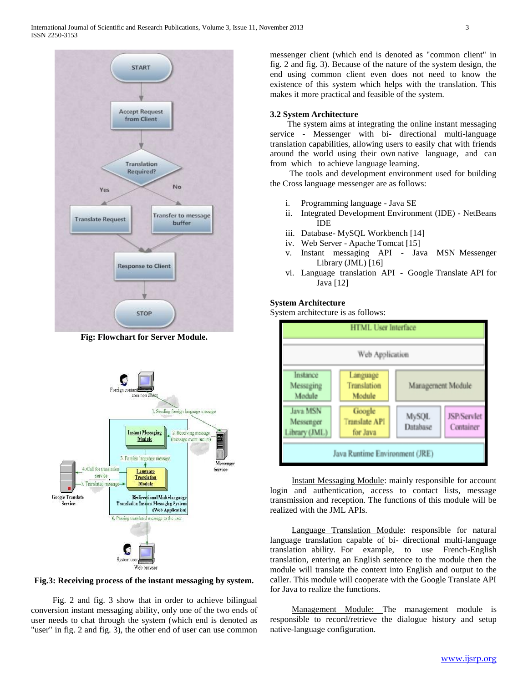

**Fig: Flowchart for Server Module.**



**Fig.3: Receiving process of the instant messaging by system.**

 Fig. 2 and fig. 3 show that in order to achieve bilingual conversion instant messaging ability, only one of the two ends of user needs to chat through the system (which end is denoted as "user" in fig. 2 and fig. 3), the other end of user can use common

messenger client (which end is denoted as "common client" in fig. 2 and fig. 3). Because of the nature of the system design, the end using common client even does not need to know the existence of this system which helps with the translation. This makes it more practical and feasible of the system.

# **3.2 System Architecture**

 The system aims at integrating the online instant messaging service - Messenger with bi- directional multi-language translation capabilities, allowing users to easily chat with friends around the world using their own native language, and can from which to achieve language learning.

 The tools and development environment used for building the Cross language messenger are as follows:

- i. Programming language Java SE
- ii. Integrated Development Environment (IDE) NetBeans IDE
- iii. Database- MySQL Workbench [14]
- iv. Web Server Apache Tomcat [15]
- v. Instant messaging API Java MSN Messenger Library (JML) [16]
- vi. Language translation API Google Translate API for Java [12]

### **System Architecture**

System architecture is as follows:



 Instant Messaging Module: mainly responsible for account login and authentication, access to contact lists, message transmission and reception. The functions of this module will be realized with the JML APIs.

 Language Translation Module: responsible for natural language translation capable of bi- directional multi-language translation ability. For example, to use French-English translation, entering an English sentence to the module then the module will translate the context into English and output to the caller. This module will cooperate with the Google Translate API for Java to realize the functions.

 Management Module: The management module is responsible to record/retrieve the dialogue history and setup native-language configuration.